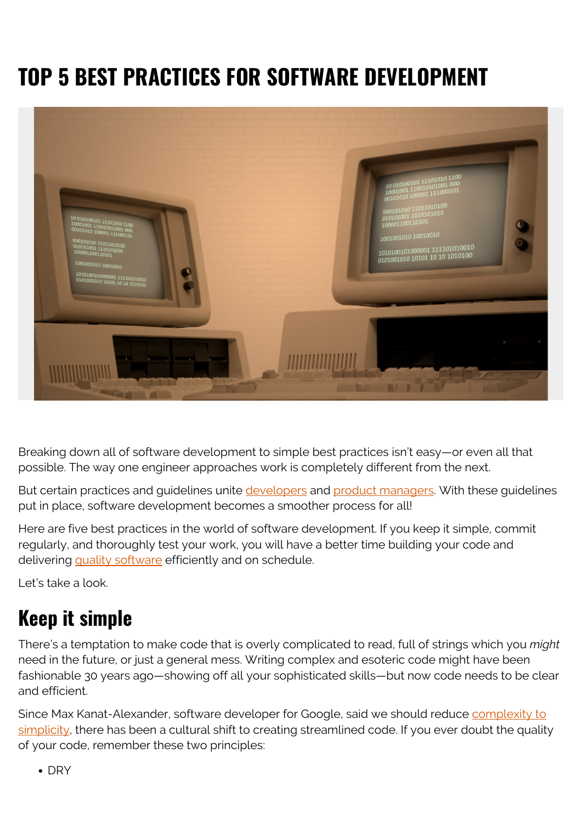# **TOP 5 BEST PRACTICES FOR SOFTWARE DEVELOPMENT**



Breaking down all of software development to simple best practices isn't easy—or even all that possible. The way one engineer approaches work is completely different from the next.

But certain practices and guidelines unite [developers](https://blogs.bmc.com/blogs/application-developer-roles-responsibilities/) and [product managers.](https://blogs.bmc.com/blogs/product-manager/) With these guidelines put in place, software development becomes a smoother process for all!

Here are five best practices in the world of software development. If you keep it simple, commit regularly, and thoroughly test your work, you will have a better time building your code and delivering [quality software](https://blogs.bmc.com/blogs/software-quality-metrics/) efficiently and on schedule.

Let's take a look.

# **Keep it simple**

There's a temptation to make code that is overly complicated to read, full of strings which you *might* need in the future, or just a general mess. Writing complex and esoteric code might have been fashionable 30 years ago—showing off all your sophisticated skills—but now code needs to be clear and efficient.

Since Max Kanat-Alexander, software developer for Google, said we should reduce [complexity to](https://www.codesimplicity.com/post/whats-wrong-with-computers/) [simplicity](https://www.codesimplicity.com/post/whats-wrong-with-computers/), there has been a cultural shift to creating streamlined code. If you ever doubt the quality of your code, remember these two principles:

 $\bullet$  DRY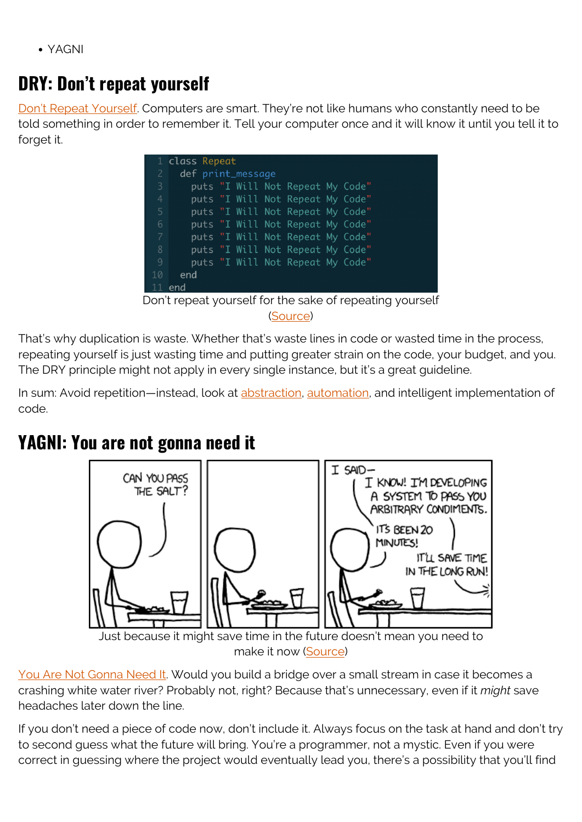YAGNI

#### **DRY: Don't repeat yourself**

[Don't Repeat Yourself](https://deviq.com/principles/dont-repeat-yourself). Computers are smart. They're not like humans who constantly need to be told something in order to remember it. Tell your computer once and it will know it until you tell it to forget it.

|                                                          | 1 class Repeat                   |
|----------------------------------------------------------|----------------------------------|
| 2                                                        | def print_message                |
| 3                                                        | puts "I Will Not Repeat My Code" |
| $\overline{4}$                                           | puts "I Will Not Repeat My Code" |
| 5                                                        | puts "I Will Not Repeat My Code" |
| 6                                                        | puts "I Will Not Repeat My Code" |
| 7                                                        | puts "I Will Not Repeat My Code" |
| 8                                                        | puts "I Will Not Repeat My Code" |
| 9                                                        | puts "I Will Not Repeat My Code" |
| 10                                                       | end                              |
| $11$ end                                                 |                                  |
| Don't repeat yourself for the sake of repeating yourself |                                  |

([Source](https://medium.com/code-thoughts/dont-repeat-yourself-caa413910753))

That's why duplication is waste. Whether that's waste lines in code or wasted time in the process, repeating yourself is just wasting time and putting greater strain on the code, your budget, and you. The DRY principle might not apply in every single instance, but it's a great guideline.

In sum: Avoid repetition—instead, look at [abstraction,](https://blogs.bmc.com/blogs/abstraction-layers/) [automation,](https://blogs.bmc.com/blogs/automation-in-devops/) and intelligent implementation of code.

### **YAGNI: You are not gonna need it**



make it now [\(Source\)](https://xkcd.com/974/)

[You Are Not Gonna Need It.](https://deviq.com/principles/yagni) Would you build a bridge over a small stream in case it becomes a crashing white water river? Probably not, right? Because that's unnecessary, even if it *might* save headaches later down the line.

If you don't need a piece of code now, don't include it. Always focus on the task at hand and don't try to second guess what the future will bring. You're a programmer, not a mystic. Even if you were correct in guessing where the project would eventually lead you, there's a possibility that you'll find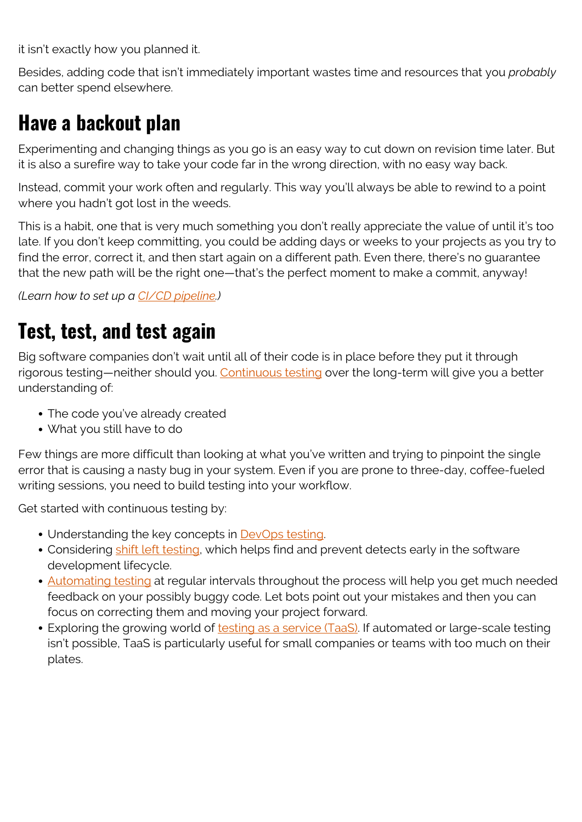it isn't exactly how you planned it.

Besides, adding code that isn't immediately important wastes time and resources that you *probably* can better spend elsewhere.

## **Have a backout plan**

Experimenting and changing things as you go is an easy way to cut down on revision time later. But it is also a surefire way to take your code far in the wrong direction, with no easy way back.

Instead, commit your work often and regularly. This way you'll always be able to rewind to a point where you hadn't got lost in the weeds.

This is a habit, one that is very much something you don't really appreciate the value of until it's too late. If you don't keep committing, you could be adding days or weeks to your projects as you try to find the error, correct it, and then start again on a different path. Even there, there's no guarantee that the new path will be the right one—that's the perfect moment to make a commit, anyway!

*(Learn how to set up a [CI/CD pipeline](https://blogs.bmc.com/blogs/ci-cd-pipeline-setup/).)*

## **Test, test, and test again**

Big software companies don't wait until all of their code is in place before they put it through rigorous testing—neither should you. [Continuous testing](https://blogs.bmc.com/blogs/devops-continuous-testing/) over the long-term will give you a better understanding of:

- The code you've already created
- What you still have to do

Few things are more difficult than looking at what you've written and trying to pinpoint the single error that is causing a nasty bug in your system. Even if you are prone to three-day, coffee-fueled writing sessions, you need to build testing into your workflow.

Get started with continuous testing by:

- Understanding the key concepts in [DevOps testing](https://blogs.bmc.com/blogs/devops-testing/).
- Considering [shift left testing](https://blogs.bmc.com/blogs/what-is-shift-left-shift-left-testing-explained/), which helps find and prevent detects early in the software development lifecycle.
- [Automating testing](https://blogs.bmc.com/blogs/testing-automation/) at regular intervals throughout the process will help you get much needed feedback on your possibly buggy code. Let bots point out your mistakes and then you can focus on correcting them and moving your project forward.
- Exploring the growing world of [testing as a service \(TaaS\).](https://blogs.bmc.com/blogs/taas-testing-as-a-service/) If automated or large-scale testing isn't possible, TaaS is particularly useful for small companies or teams with too much on their plates.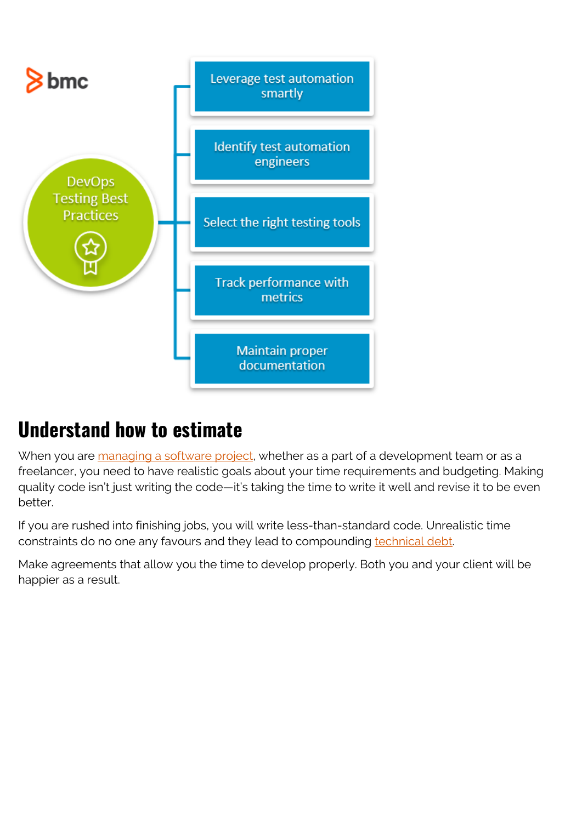

## **Understand how to estimate**

When you are [managing a software project,](https://blogs.bmc.com/blogs/software-project-management/) whether as a part of a development team or as a freelancer, you need to have realistic goals about your time requirements and budgeting. Making quality code isn't just writing the code—it's taking the time to write it well and revise it to be even better.

If you are rushed into finishing jobs, you will write less-than-standard code. Unrealistic time constraints do no one any favours and they lead to compounding [technical debt](https://blogs.bmc.com/blogs/technical-debt-explained-the-complete-guide-to-understanding-and-dealing-with-technical-debt/).

Make agreements that allow you the time to develop properly. Both you and your client will be happier as a result.